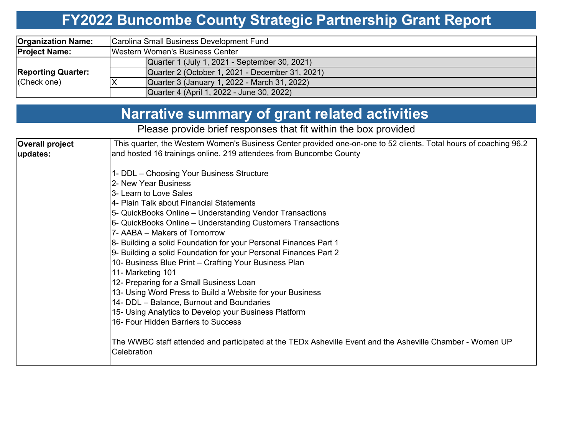#### **FY2022 Buncombe County Strategic Partnership Grant Report**

| <b>Organization Name:</b> | Carolina Small Business Development Fund        |  |  |  |  |  |  |  |
|---------------------------|-------------------------------------------------|--|--|--|--|--|--|--|
| <b>Project Name:</b>      | Western Women's Business Center                 |  |  |  |  |  |  |  |
|                           | Quarter 1 (July 1, 2021 - September 30, 2021)   |  |  |  |  |  |  |  |
| <b>Reporting Quarter:</b> | Quarter 2 (October 1, 2021 - December 31, 2021) |  |  |  |  |  |  |  |
| (Check one)               | Quarter 3 (January 1, 2022 - March 31, 2022)    |  |  |  |  |  |  |  |
|                           | Quarter 4 (April 1, 2022 - June 30, 2022)       |  |  |  |  |  |  |  |

### **Narrative summary of grant related activities**

Please provide brief responses that fit within the box provided

| Overall project | This quarter, the Western Women's Business Center provided one-on-one to 52 clients. Total hours of coaching 96.2 |  |  |  |  |  |  |  |  |
|-----------------|-------------------------------------------------------------------------------------------------------------------|--|--|--|--|--|--|--|--|
| updates:        | and hosted 16 trainings online. 219 attendees from Buncombe County                                                |  |  |  |  |  |  |  |  |
|                 |                                                                                                                   |  |  |  |  |  |  |  |  |
|                 | 1- DDL – Choosing Your Business Structure                                                                         |  |  |  |  |  |  |  |  |
|                 | 2- New Year Business                                                                                              |  |  |  |  |  |  |  |  |
|                 | 3- Learn to Love Sales                                                                                            |  |  |  |  |  |  |  |  |
|                 | 4- Plain Talk about Financial Statements                                                                          |  |  |  |  |  |  |  |  |
|                 | 5- QuickBooks Online - Understanding Vendor Transactions                                                          |  |  |  |  |  |  |  |  |
|                 | 6- QuickBooks Online - Understanding Customers Transactions                                                       |  |  |  |  |  |  |  |  |
|                 | 7- AABA - Makers of Tomorrow                                                                                      |  |  |  |  |  |  |  |  |
|                 | 8- Building a solid Foundation for your Personal Finances Part 1                                                  |  |  |  |  |  |  |  |  |
|                 | 9- Building a solid Foundation for your Personal Finances Part 2                                                  |  |  |  |  |  |  |  |  |
|                 | 10- Business Blue Print - Crafting Your Business Plan                                                             |  |  |  |  |  |  |  |  |
|                 | 11- Marketing 101                                                                                                 |  |  |  |  |  |  |  |  |
|                 | 12- Preparing for a Small Business Loan                                                                           |  |  |  |  |  |  |  |  |
|                 | 13- Using Word Press to Build a Website for your Business                                                         |  |  |  |  |  |  |  |  |
|                 | 14- DDL - Balance, Burnout and Boundaries                                                                         |  |  |  |  |  |  |  |  |
|                 | 15- Using Analytics to Develop your Business Platform                                                             |  |  |  |  |  |  |  |  |
|                 | 16- Four Hidden Barriers to Success                                                                               |  |  |  |  |  |  |  |  |
|                 |                                                                                                                   |  |  |  |  |  |  |  |  |
|                 | The WWBC staff attended and participated at the TEDx Asheville Event and the Asheville Chamber - Women UP         |  |  |  |  |  |  |  |  |
|                 | Celebration                                                                                                       |  |  |  |  |  |  |  |  |
|                 |                                                                                                                   |  |  |  |  |  |  |  |  |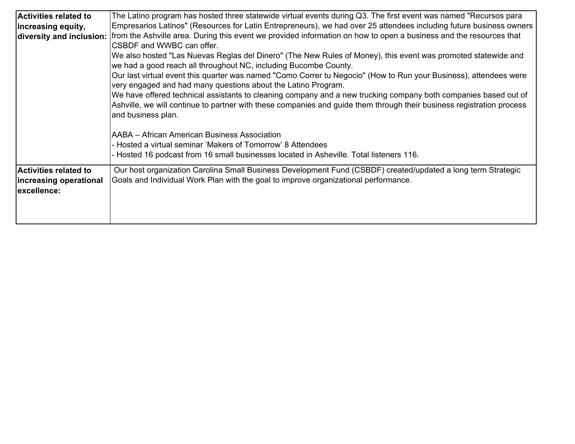| <b>Activities related to</b> | The Latino program has hosted three statewide virtual events during Q3. The first event was named "Recursos para      |
|------------------------------|-----------------------------------------------------------------------------------------------------------------------|
| increasing equity,           | Empresarios Latinos" (Resources for Latin Entrepreneurs), we had over 25 attendees including future business owners   |
| diversity and inclusion:     | from the Ashville area. During this event we provided information on how to open a business and the resources that    |
|                              | CSBDF and WWBC can offer.                                                                                             |
|                              | We also hosted "Las Nuevas Reglas del Dinero" (The New Rules of Money), this event was promoted statewide and         |
|                              | we had a good reach all throughout NC, including Bucombe County.                                                      |
|                              | Our last virtual event this quarter was named "Como Correr tu Negocio" (How to Run your Business), attendees were     |
|                              | very engaged and had many questions about the Latino Program.                                                         |
|                              | We have offered technical assistants to cleaning company and a new trucking company both companies based out of       |
|                              | Ashville, we will continue to partner with these companies and guide them through their business registration process |
|                              | and business plan.                                                                                                    |
|                              |                                                                                                                       |
|                              | AABA – African American Business Association                                                                          |
|                              | - Hosted a virtual seminar 'Makers of Tomorrow' 8 Attendees                                                           |
|                              | Hosted 16 podcast from 16 small businesses located in Asheville. Total listeners 116.                                 |
| Activities related to        | Our host organization Carolina Small Business Development Fund (CSBDF) created/updated a long term Strategic          |
| increasing operational       | Goals and Individual Work Plan with the goal to improve organizational performance.                                   |
| excellence:                  |                                                                                                                       |
|                              |                                                                                                                       |
|                              |                                                                                                                       |
|                              |                                                                                                                       |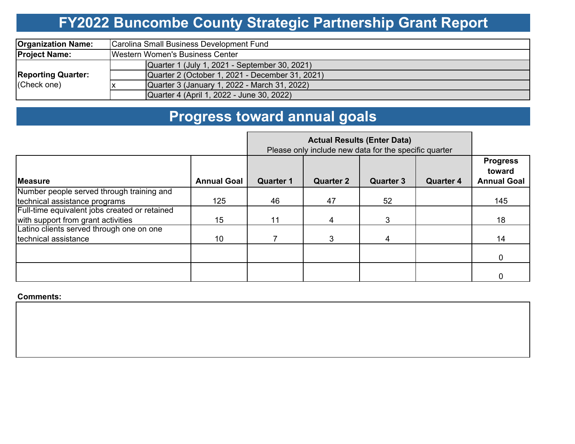# **FY2022 Buncombe County Strategic Partnership Grant Report**

| <b>Organization Name:</b>                | Carolina Small Business Development Fund        |  |  |  |  |  |  |
|------------------------------------------|-------------------------------------------------|--|--|--|--|--|--|
| <b>Project Name:</b>                     | Western Women's Business Center                 |  |  |  |  |  |  |
| <b>Reporting Quarter:</b><br>(Check one) | Quarter 1 (July 1, 2021 - September 30, 2021)   |  |  |  |  |  |  |
|                                          | Quarter 2 (October 1, 2021 - December 31, 2021) |  |  |  |  |  |  |
|                                          | Quarter 3 (January 1, 2022 - March 31, 2022)    |  |  |  |  |  |  |
|                                          | Quarter 4 (April 1, 2022 - June 30, 2022)       |  |  |  |  |  |  |

# **Progress toward annual goals**

|                                               |                    | Please only include new data for the specific quarter |                  |                  |                  |                                                 |
|-----------------------------------------------|--------------------|-------------------------------------------------------|------------------|------------------|------------------|-------------------------------------------------|
| <b>IMeasure</b>                               | <b>Annual Goal</b> | <b>Quarter 1</b>                                      | <b>Quarter 2</b> | <b>Quarter 3</b> | <b>Quarter 4</b> | <b>Progress</b><br>toward<br><b>Annual Goal</b> |
| Number people served through training and     |                    |                                                       |                  |                  |                  |                                                 |
| technical assistance programs                 | 125                | 46                                                    | 47               | 52               |                  | 145                                             |
| Full-time equivalent jobs created or retained |                    |                                                       |                  |                  |                  |                                                 |
| with support from grant activities            | 15                 | 11                                                    |                  | 3                |                  | 18                                              |
| Latino clients served through one on one      |                    |                                                       |                  |                  |                  |                                                 |
| technical assistance                          | 10                 |                                                       | 3                | 4                |                  | 14                                              |
|                                               |                    |                                                       |                  |                  |                  | 0                                               |
|                                               |                    |                                                       |                  |                  |                  | 0                                               |

#### **Comments:**